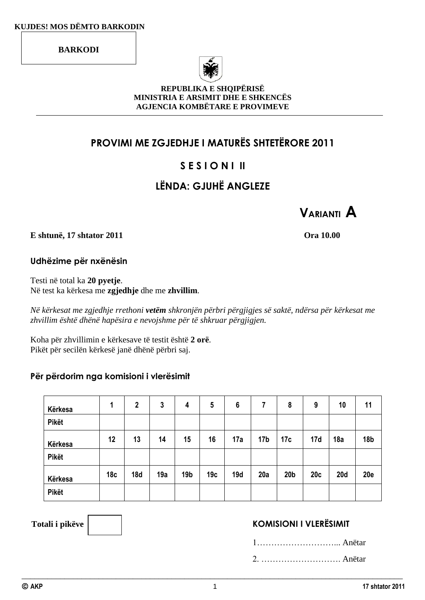**BARKODI**



**REPUBLIKA E SHQIPËRISË MINISTRIA E ARSIMIT DHE E SHKENCËS AGJENCIA KOMBËTARE E PROVIMEVE**

# **PROVIMI ME ZGJEDHJE I MATURËS SHTETËRORE 2011**

## **S E S I O N I II**

## **LËNDA: GJUHË ANGLEZE**



**E shtunë, 17 shtator 2011 Ora 10.00**

### **Udhëzime për nxënësin**

Testi në total ka **20 pyetje**. Në test ka kërkesa me **zgjedhje** dhe me **zhvillim**.

*Në kërkesat me zgjedhje rrethoni vetëm shkronjën përbri përgjigjes së saktë, ndërsa për kërkesat me zhvillim është dhënë hapësira e nevojshme për të shkruar përgjigjen.*

Koha për zhvillimin e kërkesave të testit është **2 orë**. Pikët për secilën kërkesë janë dhënë përbri saj.

### **Për përdorim nga komisioni i vlerësimit**

| Kërkesa      | 1               | 2          | 3   | 4               | 5   | 6          | 7               | 8               | 9   | 10  | 11              |
|--------------|-----------------|------------|-----|-----------------|-----|------------|-----------------|-----------------|-----|-----|-----------------|
| <b>Pikët</b> |                 |            |     |                 |     |            |                 |                 |     |     |                 |
| Kërkesa      | 12              | 13         | 14  | 15              | 16  | 17a        | 17 <sub>b</sub> | 17c             | 17d | 18a | 18 <sub>b</sub> |
| <b>Pikët</b> |                 |            |     |                 |     |            |                 |                 |     |     |                 |
| Kërkesa      | 18 <sub>c</sub> | <b>18d</b> | 19a | 19 <sub>b</sub> | 19c | <b>19d</b> | 20a             | 20 <sub>b</sub> | 20c | 20d | <b>20e</b>      |
| <b>Pikët</b> |                 |            |     |                 |     |            |                 |                 |     |     |                 |

### Totali i pikëve **Ashtrali i pikëve KOMISIONI I VLERËSIMIT**

1………………………... Anëtar 2. ………………………. Anëtar

\_\_\_\_\_\_\_\_\_\_\_\_\_\_\_\_\_\_\_\_\_\_\_\_\_\_\_\_\_\_\_\_\_\_\_\_\_\_\_\_\_\_\_\_\_\_\_\_\_\_\_\_\_\_\_\_\_\_\_\_\_\_\_\_\_\_\_\_\_\_\_\_\_\_\_\_\_\_\_\_\_\_\_\_\_\_\_\_\_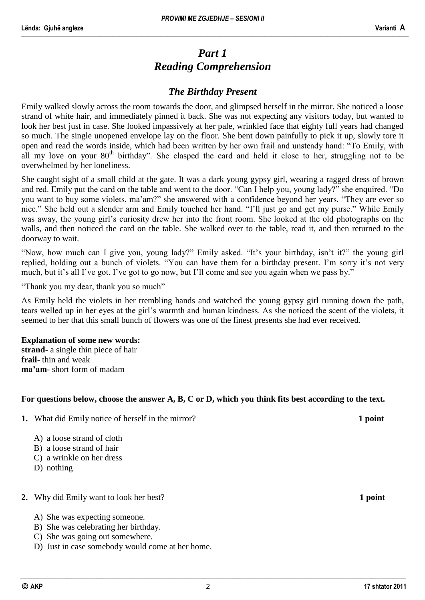## *Part 1 Reading Comprehension*

### *The Birthday Present*

Emily walked slowly across the room towards the door, and glimpsed herself in the mirror. She noticed a loose strand of white hair, and immediately pinned it back. She was not expecting any visitors today, but wanted to look her best just in case. She looked impassively at her pale, wrinkled face that eighty full years had changed so much. The single unopened envelope lay on the floor. She bent down painfully to pick it up, slowly tore it open and read the words inside, which had been written by her own frail and unsteady hand: "To Emily, with all my love on your 80<sup>th</sup> birthday". She clasped the card and held it close to her, struggling not to be overwhelmed by her loneliness.

She caught sight of a small child at the gate. It was a dark young gypsy girl, wearing a ragged dress of brown and red. Emily put the card on the table and went to the door. "Can I help you, young lady?" she enquired. "Do you want to buy some violets, ma'am?" she answered with a confidence beyond her years. "They are ever so nice." She held out a slender arm and Emily touched her hand. "I'll just go and get my purse." While Emily was away, the young girl's curiosity drew her into the front room. She looked at the old photographs on the walls, and then noticed the card on the table. She walked over to the table, read it, and then returned to the doorway to wait.

"Now, how much can I give you, young lady?" Emily asked. "It's your birthday, isn't it?" the young girl replied, holding out a bunch of violets. "You can have them for a birthday present. I'm sorry it's not very much, but it's all I've got. I've got to go now, but I'll come and see you again when we pass by."

"Thank you my dear, thank you so much"

As Emily held the violets in her trembling hands and watched the young gypsy girl running down the path, tears welled up in her eyes at the girl's warmth and human kindness. As she noticed the scent of the violets, it seemed to her that this small bunch of flowers was one of the finest presents she had ever received.

#### **Explanation of some new words:**

**strand**- a single thin piece of hair **frail**- thin and weak **ma'am**- short form of madam

#### **For questions below, choose the answer A, B, C or D, which you think fits best according to the text.**

- **1.** What did Emily notice of herself in the mirror? **1 point** 
	- A) a loose strand of cloth
	- B) a loose strand of hair
	- C) a wrinkle on her dress
	- D) nothing

#### **2.** Why did Emily want to look her best? **1 point**

- A) She was expecting someone.
- B) She was celebrating her birthday.
- C) She was going out somewhere.
- D) Just in case somebody would come at her home.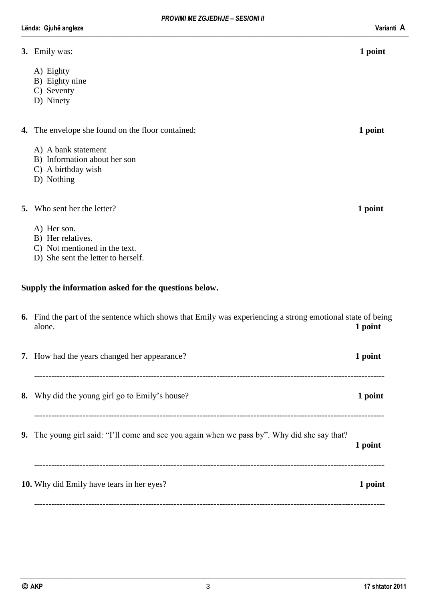- **3.** Emily was: **1 point** A) Eighty B) Eighty nine C) Seventy D) Ninety **4.** The envelope she found on the floor contained: **1 point** A) A bank statement B) Information about her son C) A birthday wish D) Nothing **5.** Who sent her the letter? **1 point** A) Her son. B) Her relatives. C) Not mentioned in the text. D) She sent the letter to herself. **Supply the information asked for the questions below.**
- **6.** Find the part of the sentence which shows that Emily was experiencing a strong emotional state of being alone. **1 point 7.** How had the years changed her appearance? **1 point --------------------------------------------------------------------------------------------------------------------------- 8.** Why did the young girl go to Emily's house? **1 point --------------------------------------------------------------------------------------------------------------------------- 9.** The young girl said: "I'll come and see you again when we pass by". Why did she say that? **1 point --------------------------------------------------------------------------------------------------------------------------- 10.** Why did Emily have tears in her eyes? **1 point ---------------------------------------------------------------------------------------------------------------------------**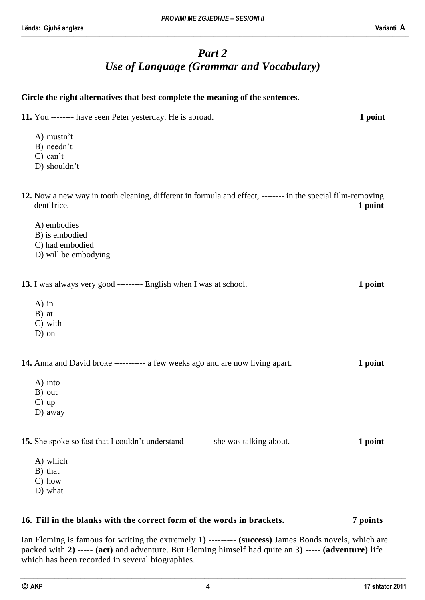## Part 2 **Use of Language (Grammar and Vocabulary)**

#### Circle the right alternatives that best complete the meaning of the sentences.

| 11. You -------- have seen Peter yesterday. He is abroad.                                                   | 1 point  |
|-------------------------------------------------------------------------------------------------------------|----------|
| $A)$ mustn't                                                                                                |          |
| B) needn't                                                                                                  |          |
| $C)$ can't                                                                                                  |          |
| D) shouldn't                                                                                                |          |
| 12. Now a new way in tooth cleaning, different in formula and effect, -------- in the special film-removing |          |
| dentifrice.                                                                                                 | 1 point  |
| A) embodies                                                                                                 |          |
| B) is embodied                                                                                              |          |
| C) had embodied                                                                                             |          |
| D) will be embodying                                                                                        |          |
| 13. I was always very good --------- English when I was at school.                                          | 1 point  |
| $A)$ in                                                                                                     |          |
| $B)$ at                                                                                                     |          |
| C) with                                                                                                     |          |
| $D)$ on                                                                                                     |          |
| 14. Anna and David broke ----------- a few weeks ago and are now living apart.                              | 1 point  |
| A) into                                                                                                     |          |
| B) out                                                                                                      |          |
| $C)$ up                                                                                                     |          |
| D) away                                                                                                     |          |
| 15. She spoke so fast that I couldn't understand --------- she was talking about.                           | 1 point  |
| A) which                                                                                                    |          |
| B) that                                                                                                     |          |
| $C)$ how                                                                                                    |          |
| D) what                                                                                                     |          |
| 16. Fill in the blanks with the correct form of the words in brackets.                                      | 7 points |

Ian Fleming is famous for writing the extremely 1) --------- (success) James Bonds novels, which are packed with 2) ----- (act) and adventure. But Fleming himself had quite an 3) ----- (adventure) life which has been recorded in several biographies.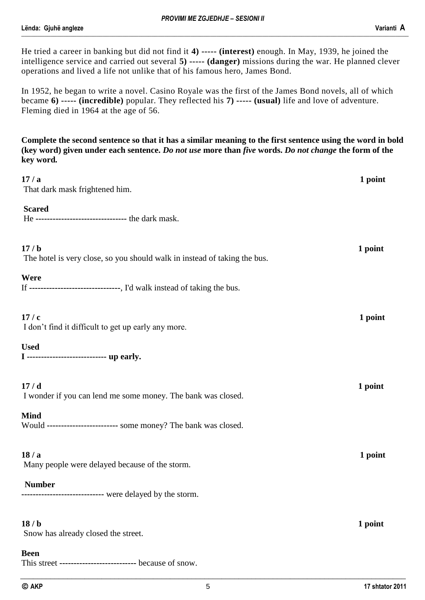He tried a career in banking but did not find it **4) ----- (interest)** enough. In May, 1939, he joined the intelligence service and carried out several **5) ----- (danger)** missions during the war. He planned clever operations and lived a life not unlike that of his famous hero, James Bond.

In 1952, he began to write a novel. Casino Royale was the first of the James Bond novels, all of which became **6) ----- (incredible)** popular. They reflected his **7) ----- (usual)** life and love of adventure. Fleming died in 1964 at the age of 56.

**Complete the second sentence so that it has a similar meaning to the first sentence using the word in bold (key word) given under each sentence.** *Do not use* **more than** *five* **words.** *Do not change* **the form of the key word***.*

| 17/a<br>That dark mask frightened him.                                            | 1 point |
|-----------------------------------------------------------------------------------|---------|
| <b>Scared</b><br>He -------------------------------- the dark mask.               |         |
| 17/b<br>The hotel is very close, so you should walk in instead of taking the bus. | 1 point |
| Were<br>If -------------------------------, I'd walk instead of taking the bus.   |         |
| 17/c<br>I don't find it difficult to get up early any more.                       | 1 point |
| <b>Used</b><br>I ---------------------------- up early.                           |         |
| 17/d<br>I wonder if you can lend me some money. The bank was closed.              | 1 point |
| <b>Mind</b><br>Would ------------------------ some money? The bank was closed.    |         |
| 18/a<br>Many people were delayed because of the storm.                            | 1 point |
| <b>Number</b><br>------------ were delayed by the storm.                          |         |
| 18/b<br>Snow has already closed the street.                                       | 1 point |
| <b>Been</b><br>This street --------------------------- because of snow.           |         |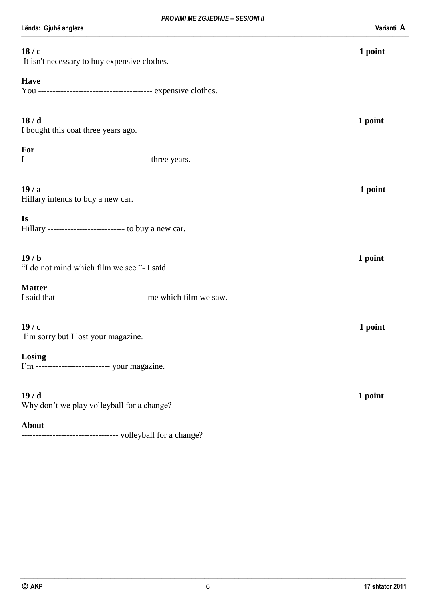| 18/c<br>It isn't necessary to buy expensive clothes.                              | 1 point |
|-----------------------------------------------------------------------------------|---------|
| <b>Have</b>                                                                       |         |
| 18/d<br>I bought this coat three years ago.                                       | 1 point |
| For                                                                               |         |
| 19/a<br>Hillary intends to buy a new car.                                         | 1 point |
| Is                                                                                |         |
| 19/b<br>"I do not mind which film we see." - I said.                              | 1 point |
| <b>Matter</b><br>I said that ------------------------------ me which film we saw. |         |
| 19/c<br>I'm sorry but I lost your magazine.                                       | 1 point |
| Losing<br>I'm -------------------------- your magazine.                           |         |
| 19/d<br>Why don't we play volleyball for a change?                                | 1 point |
| <b>About</b>                                                                      |         |

**----------------------------------** volleyball for a change?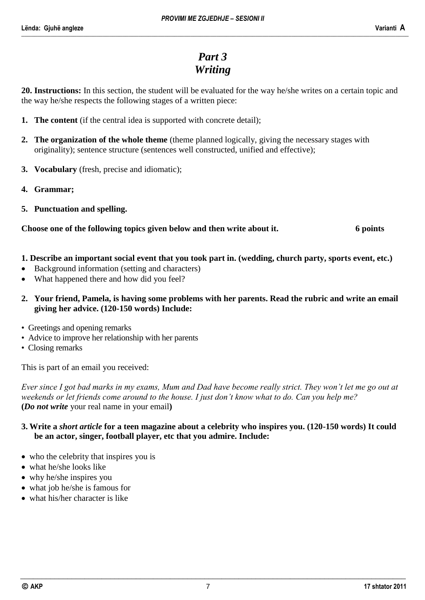## *Part 3 Writing*

**20. Instructions:** In this section, the student will be evaluated for the way he/she writes on a certain topic and the way he/she respects the following stages of a written piece:

- **1. The content** (if the central idea is supported with concrete detail);
- **2. The organization of the whole theme** (theme planned logically, giving the necessary stages with originality); sentence structure (sentences well constructed, unified and effective);
- **3. Vocabulary** (fresh, precise and idiomatic);
- **4. Grammar;**
- **5. Punctuation and spelling.**

**Choose one of the following topics given below and then write about it. 6 points**

#### **1. Describe an important social event that you took part in. (wedding, church party, sports event, etc.)**

- Background information (setting and characters)
- What happened there and how did you feel?
- **2. Your friend, Pamela, is having some problems with her parents. Read the rubric and write an email giving her advice. (120-150 words) Include:**
- Greetings and opening remarks
- Advice to improve her relationship with her parents
- Closing remarks

This is part of an email you received:

*Ever since I got bad marks in my exams, Mum and Dad have become really strict. They won't let me go out at weekends or let friends come around to the house. I just don't know what to do. Can you help me?* **(***Do not write* your real name in your email**)**

#### **3. Write a** *short article* **for a teen magazine about a celebrity who inspires you. (120-150 words) It could be an actor, singer, football player, etc that you admire. Include:**

- who the celebrity that inspires you is
- what he/she looks like
- why he/she inspires you
- what job he/she is famous for
- what his/her character is like

\_\_\_\_\_\_\_\_\_\_\_\_\_\_\_\_\_\_\_\_\_\_\_\_\_\_\_\_\_\_\_\_\_\_\_\_\_\_\_\_\_\_\_\_\_\_\_\_\_\_\_\_\_\_\_\_\_\_\_\_\_\_\_\_\_\_\_\_\_\_\_\_\_\_\_\_\_\_\_\_\_\_\_\_\_\_\_\_\_\_